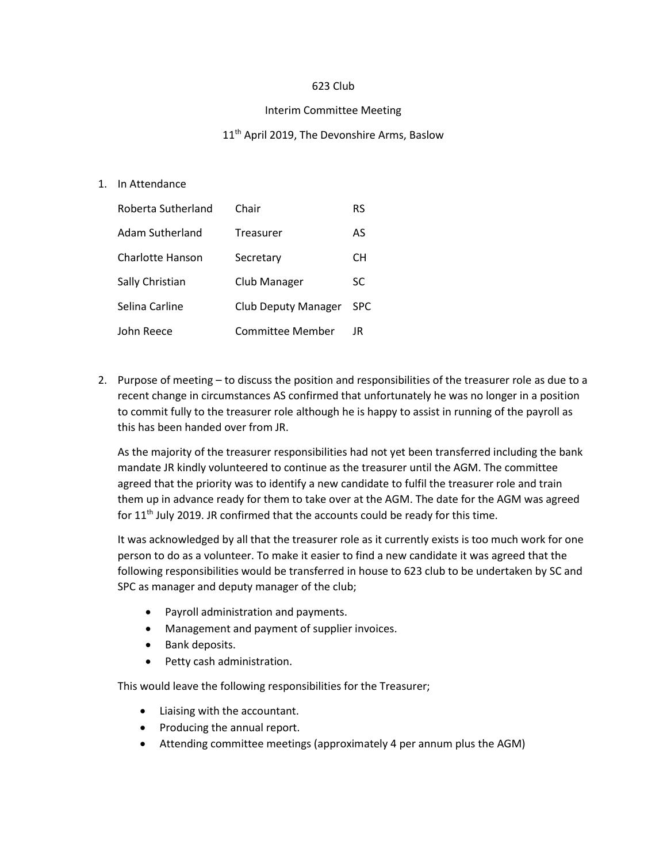## 623 Club

## Interim Committee Meeting

## 11<sup>th</sup> April 2019, The Devonshire Arms, Baslow

1. In Attendance

| Roberta Sutherland | Chair                      | RS         |
|--------------------|----------------------------|------------|
| Adam Sutherland    | Treasurer                  | AS         |
| Charlotte Hanson   | Secretary                  | CН         |
| Sally Christian    | Club Manager               | SC         |
| Selina Carline     | <b>Club Deputy Manager</b> | <b>SPC</b> |
| John Reece         | Committee Member           | JR         |

2. Purpose of meeting – to discuss the position and responsibilities of the treasurer role as due to a recent change in circumstances AS confirmed that unfortunately he was no longer in a position to commit fully to the treasurer role although he is happy to assist in running of the payroll as this has been handed over from JR.

As the majority of the treasurer responsibilities had not yet been transferred including the bank mandate JR kindly volunteered to continue as the treasurer until the AGM. The committee agreed that the priority was to identify a new candidate to fulfil the treasurer role and train them up in advance ready for them to take over at the AGM. The date for the AGM was agreed for  $11<sup>th</sup>$  July 2019. JR confirmed that the accounts could be ready for this time.

It was acknowledged by all that the treasurer role as it currently exists is too much work for one person to do as a volunteer. To make it easier to find a new candidate it was agreed that the following responsibilities would be transferred in house to 623 club to be undertaken by SC and SPC as manager and deputy manager of the club;

- Payroll administration and payments.
- Management and payment of supplier invoices.
- Bank deposits.
- Petty cash administration.

This would leave the following responsibilities for the Treasurer;

- Liaising with the accountant.
- Producing the annual report.
- Attending committee meetings (approximately 4 per annum plus the AGM)